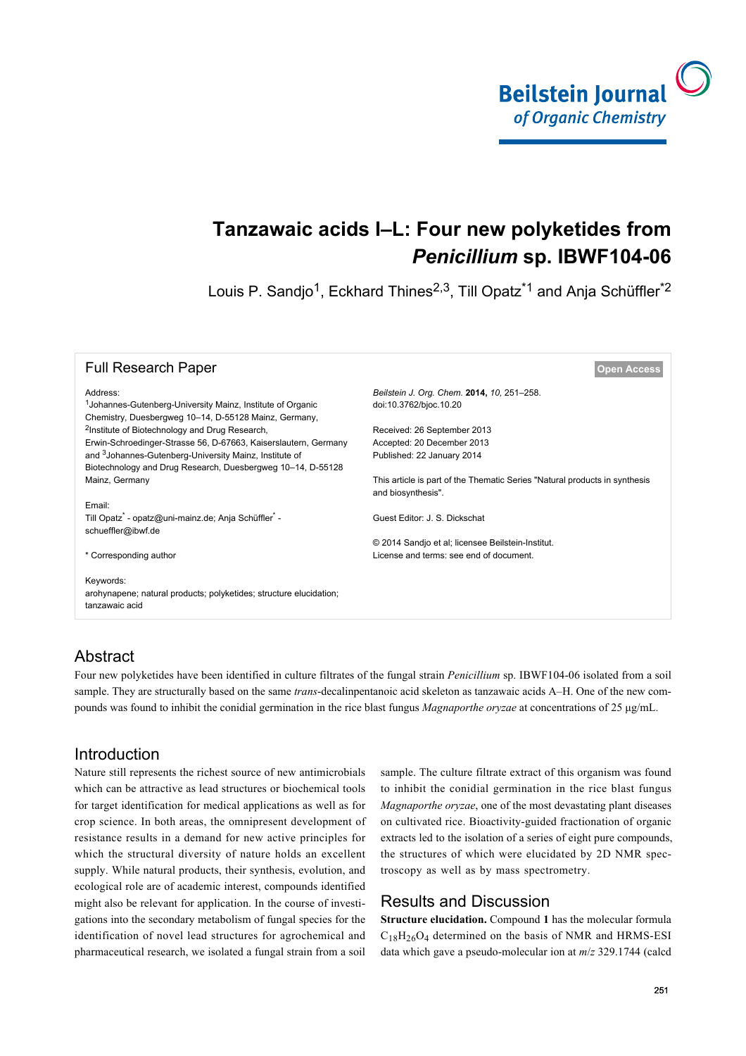

# **Tanzawaic acids I–L: Four new polyketides from** *Penicillium* **sp. IBWF104-06**

Louis P. Sandjo<sup>1</sup>, Eckhard Thines<sup>2,3</sup>, Till Opatz<sup>\*1</sup> and Anja Schüffler<sup>\*2</sup>

| <b>Full Research Paper</b>                                                                                                      | <b>Open Access</b>                                                                               |
|---------------------------------------------------------------------------------------------------------------------------------|--------------------------------------------------------------------------------------------------|
| Address:                                                                                                                        | Beilstein J. Org. Chem. 2014, 10, 251-258.                                                       |
| <sup>1</sup> Johannes-Gutenberg-University Mainz, Institute of Organic<br>Chemistry, Duesbergweg 10-14, D-55128 Mainz, Germany, | doi:10.3762/bjoc.10.20                                                                           |
| <sup>2</sup> Institute of Biotechnology and Drug Research,                                                                      | Received: 26 September 2013                                                                      |
| Erwin-Schroedinger-Strasse 56, D-67663, Kaiserslautern, Germany                                                                 | Accepted: 20 December 2013                                                                       |
| and <sup>3</sup> Johannes-Gutenberg-University Mainz, Institute of                                                              | Published: 22 January 2014                                                                       |
| Biotechnology and Drug Research, Duesbergweg 10-14, D-55128                                                                     |                                                                                                  |
| Mainz, Germany                                                                                                                  | This article is part of the Thematic Series "Natural products in synthesis<br>and biosynthesis". |
| Email:                                                                                                                          |                                                                                                  |
| Till Opatz <sup>*</sup> - opatz@uni-mainz.de; Anja Schüffler <sup>*</sup> -<br>schueffler@ibwf.de                               | Guest Editor: J. S. Dickschat                                                                    |
|                                                                                                                                 | © 2014 Sandjo et al; licensee Beilstein-Institut.                                                |
| * Corresponding author                                                                                                          | License and terms: see end of document.                                                          |
|                                                                                                                                 |                                                                                                  |
| Keywords:                                                                                                                       |                                                                                                  |
| arohynapene; natural products; polyketides; structure elucidation;<br>tanzawaic acid                                            |                                                                                                  |
|                                                                                                                                 |                                                                                                  |

## Abstract

Four new polyketides have been identified in culture filtrates of the fungal strain *Penicillium* sp. IBWF104-06 isolated from a soil sample. They are structurally based on the same *trans*-decalinpentanoic acid skeleton as tanzawaic acids A–H. One of the new compounds was found to inhibit the conidial germination in the rice blast fungus *Magnaporthe oryzae* at concentrations of 25 μg/mL.

### Introduction

Nature still represents the richest source of new antimicrobials which can be attractive as lead structures or biochemical tools for target identification for medical applications as well as for crop science. In both areas, the omnipresent development of resistance results in a demand for new active principles for which the structural diversity of nature holds an excellent supply. While natural products, their synthesis, evolution, and ecological role are of academic interest, compounds identified might also be relevant for application. In the course of investigations into the secondary metabolism of fungal species for the identification of novel lead structures for agrochemical and pharmaceutical research, we isolated a fungal strain from a soil

sample. The culture filtrate extract of this organism was found to inhibit the conidial germination in the rice blast fungus *Magnaporthe oryzae*, one of the most devastating plant diseases on cultivated rice. Bioactivity-guided fractionation of organic extracts led to the isolation of a series of eight pure compounds, the structures of which were elucidated by 2D NMR spectroscopy as well as by mass spectrometry.

## Results and Discussion

**Structure elucidation.** Compound **1** has the molecular formula  $C_{18}H_{26}O_4$  determined on the basis of NMR and HRMS-ESI data which gave a pseudo-molecular ion at *m*/*z* 329.1744 (calcd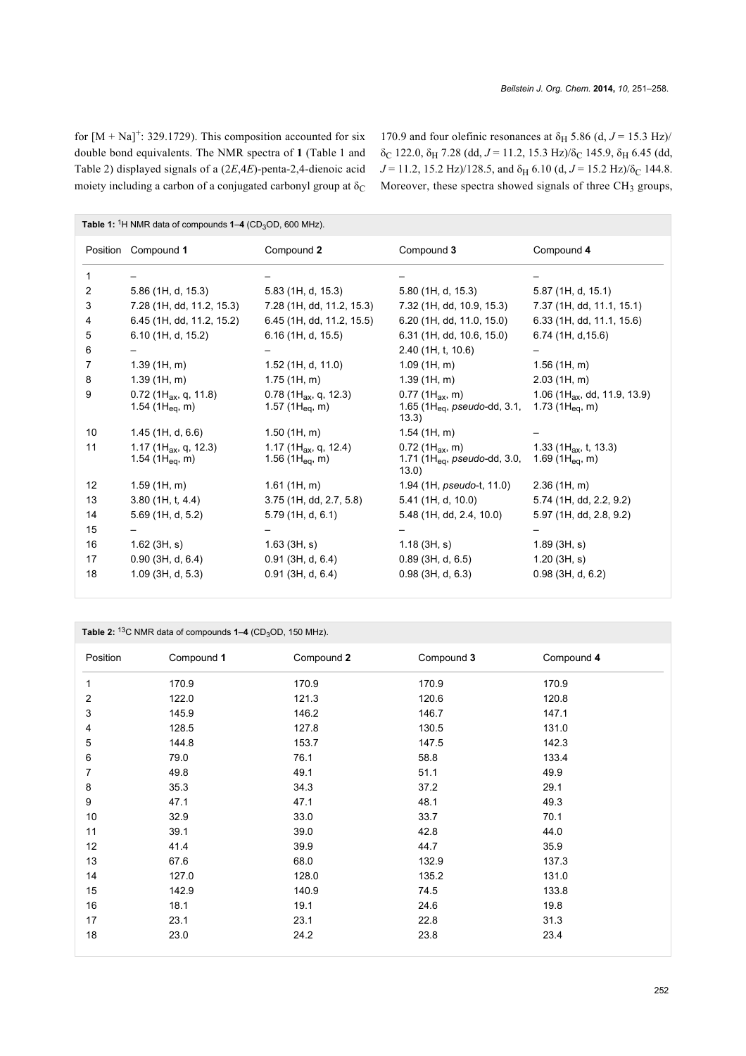for  $[M + Na]^{+}$ : 329.1729). This composition accounted for six double bond equivalents. The NMR spectra of **1** [\(Table 1](#page-1-0) and [Table 2](#page-1-1)) displayed signals of a (2*E*,4*E*)-penta-2,4-dienoic acid moiety including a carbon of a conjugated carbonyl group at  $\delta_C$ 

170.9 and four olefinic resonances at  $\delta_H$  5.86 (d,  $J = 15.3$  Hz)/ δ<sub>C</sub> 122.0, δ<sub>H</sub> 7.28 (dd,  $J = 11.2$ , 15.3 Hz)/δ<sub>C</sub> 145.9, δ<sub>H</sub> 6.45 (dd,  $J = 11.2$ , 15.2 Hz)/128.5, and  $\delta_H$  6.10 (d,  $J = 15.2$  Hz)/ $\delta_C$  144.8. Moreover, these spectra showed signals of three  $CH<sub>3</sub>$  groups,

<span id="page-1-0"></span>

| Table 1: <sup>1</sup> H NMR data of compounds $1-4$ (CD <sub>3</sub> OD, 600 MHz). |                                                              |                                                            |                                                                                            |                                                                   |  |  |
|------------------------------------------------------------------------------------|--------------------------------------------------------------|------------------------------------------------------------|--------------------------------------------------------------------------------------------|-------------------------------------------------------------------|--|--|
|                                                                                    | Position Compound 1                                          | Compound 2                                                 | Compound 3                                                                                 | Compound 4                                                        |  |  |
| 1                                                                                  |                                                              |                                                            |                                                                                            |                                                                   |  |  |
| 2                                                                                  | 5.86 (1H, d, 15.3)                                           | 5.83 (1H, d, 15.3)                                         | 5.80(1H, d, 15.3)                                                                          | 5.87 (1H, d, 15.1)                                                |  |  |
| 3                                                                                  | 7.28 (1H, dd, 11.2, 15.3)                                    | 7.28 (1H, dd, 11.2, 15.3)                                  | 7.32 (1H, dd, 10.9, 15.3)                                                                  | 7.37 (1H, dd, 11.1, 15.1)                                         |  |  |
| 4                                                                                  | 6.45 (1H, dd, 11.2, 15.2)                                    | 6.45 (1H, dd, 11.2, 15.5)                                  | 6.20 (1H, dd, 11.0, 15.0)                                                                  | 6.33 (1H, dd, 11.1, 15.6)                                         |  |  |
| 5                                                                                  | 6.10 (1H, d, 15.2)                                           | 6.16(1H, d, 15.5)                                          | 6.31 (1H, dd, 10.6, 15.0)                                                                  | 6.74 (1H, d, 15.6)                                                |  |  |
| 6                                                                                  |                                                              |                                                            | $2.40$ (1H, t, 10.6)                                                                       |                                                                   |  |  |
| 7                                                                                  | 1.39(1H, m)                                                  | $1.52$ (1H, d, 11.0)                                       | 1.09(1H, m)                                                                                | $1.56$ (1H, m)                                                    |  |  |
| 8                                                                                  | 1.39(1H, m)                                                  | 1.75(1H, m)                                                | 1.39(1H, m)                                                                                | $2.03$ (1H, m)                                                    |  |  |
| 9                                                                                  | $0.72$ (1H <sub>ax</sub> , q, 11.8)<br>1.54 (1 $H_{eq}$ , m) | 0.78 (1H <sub>ax</sub> , q, 12.3)<br>1.57 (1 $H_{eq}$ , m) | $0.77$ (1H <sub>ax</sub> , m)<br>1.65 (1H <sub>eq</sub> , <i>pseudo-</i> dd, 3.1,<br>13.3) | 1.06 (1H <sub>ax</sub> , dd, 11.9, 13.9)<br>1.73 (1 $H_{eq}$ , m) |  |  |
| 10                                                                                 | $1.45$ (1H, d, 6.6)                                          | $1.50$ (1H, m)                                             | $1.54$ (1H, m)                                                                             |                                                                   |  |  |
| 11                                                                                 | 1.17 (1 $H_{ax}$ , q, 12.3)<br>1.54 (1 $H_{eq}$ , m)         | 1.17 (1 $H_{ax}$ , q, 12.4)<br>1.56 (1 $H_{eq}$ , m)       | $0.72$ (1H <sub>ax</sub> , m)<br>1.71 (1 $H_{eq}$ , pseudo-dd, 3.0,<br>(13.0)              | 1.33 (1 $H_{ax}$ , t, 13.3)<br>1.69 (1 $H_{eq}$ , m)              |  |  |
| 12                                                                                 | 1.59(1H, m)                                                  | $1.61$ (1H, m)                                             | 1.94 (1H, <i>pseudo-t</i> , 11.0)                                                          | $2.36$ (1H, m)                                                    |  |  |
| 13                                                                                 | 3.80(1H, t, 4.4)                                             | 3.75 (1H, dd, 2.7, 5.8)                                    | 5.41 (1H, d, 10.0)                                                                         | 5.74 (1H, dd, 2.2, 9.2)                                           |  |  |
| 14                                                                                 | 5.69 (1H, d, 5.2)                                            | 5.79(1H, d, 6.1)                                           | 5.48 (1H, dd, 2.4, 10.0)                                                                   | 5.97 (1H, dd, 2.8, 9.2)                                           |  |  |
| 15                                                                                 |                                                              |                                                            |                                                                                            |                                                                   |  |  |
| 16                                                                                 | $1.62$ (3H, s)                                               | 1.63(3H, s)                                                | 1.18(3H, s)                                                                                | 1.89(3H, s)                                                       |  |  |
| 17                                                                                 | $0.90$ (3H, d, 6.4)                                          | $0.91$ (3H, d, 6.4)                                        | $0.89$ (3H, d, 6.5)                                                                        | 1.20(3H, s)                                                       |  |  |
| 18                                                                                 | $1.09$ (3H, d, 5.3)                                          | $0.91$ (3H, d, 6.4)                                        | $0.98$ (3H, d, 6.3)                                                                        | $0.98$ (3H, d, 6.2)                                               |  |  |

<span id="page-1-1"></span>

| Table 2: $13C$ NMR data of compounds $1-4$ (CD <sub>3</sub> OD, 150 MHz). |            |            |            |            |  |
|---------------------------------------------------------------------------|------------|------------|------------|------------|--|
| Position                                                                  | Compound 1 | Compound 2 | Compound 3 | Compound 4 |  |
| 1                                                                         | 170.9      | 170.9      | 170.9      | 170.9      |  |
| 2                                                                         | 122.0      | 121.3      | 120.6      | 120.8      |  |
| 3                                                                         | 145.9      | 146.2      | 146.7      | 147.1      |  |
| 4                                                                         | 128.5      | 127.8      | 130.5      | 131.0      |  |
| 5                                                                         | 144.8      | 153.7      | 147.5      | 142.3      |  |
| 6                                                                         | 79.0       | 76.1       | 58.8       | 133.4      |  |
| 7                                                                         | 49.8       | 49.1       | 51.1       | 49.9       |  |
| 8                                                                         | 35.3       | 34.3       | 37.2       | 29.1       |  |
| 9                                                                         | 47.1       | 47.1       | 48.1       | 49.3       |  |
| 10                                                                        | 32.9       | 33.0       | 33.7       | 70.1       |  |
| 11                                                                        | 39.1       | 39.0       | 42.8       | 44.0       |  |
| 12                                                                        | 41.4       | 39.9       | 44.7       | 35.9       |  |
| 13                                                                        | 67.6       | 68.0       | 132.9      | 137.3      |  |
| 14                                                                        | 127.0      | 128.0      | 135.2      | 131.0      |  |
| 15                                                                        | 142.9      | 140.9      | 74.5       | 133.8      |  |
| 16                                                                        | 18.1       | 19.1       | 24.6       | 19.8       |  |
| 17                                                                        | 23.1       | 23.1       | 22.8       | 31.3       |  |
| 18                                                                        | 23.0       | 24.2       | 23.8       | 23.4       |  |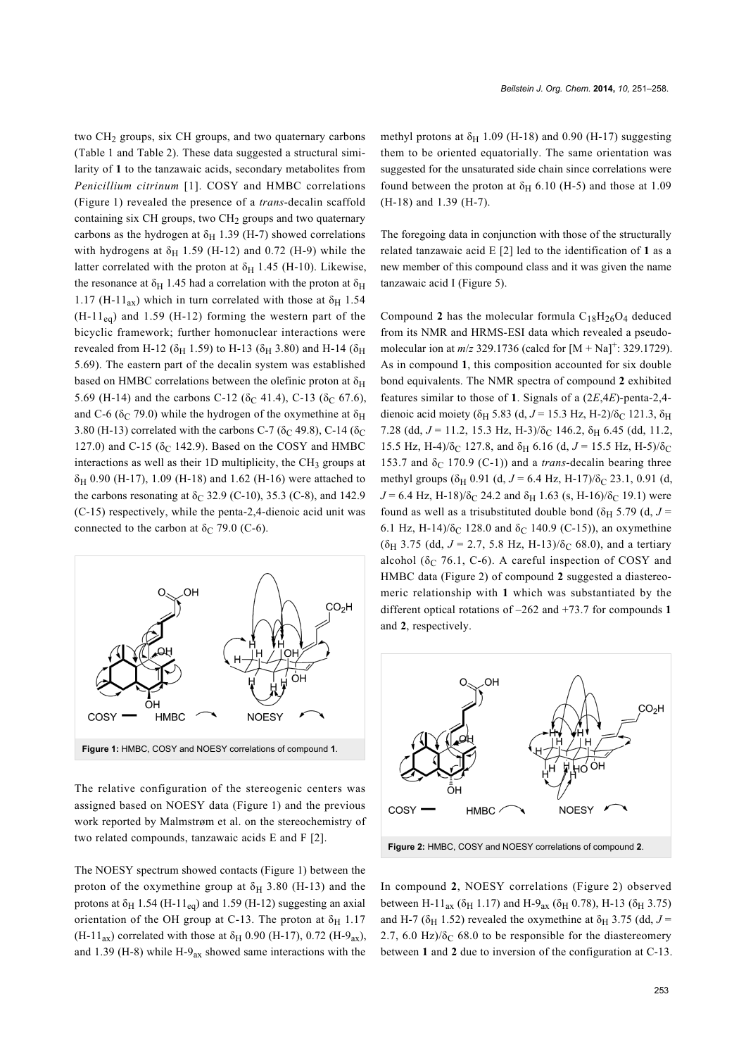two  $CH<sub>2</sub>$  groups, six CH groups, and two quaternary carbons ([Table 1](#page-1-0) and [Table 2](#page-1-1)). These data suggested a structural similarity of **1** to the tanzawaic acids, secondary metabolites from *Penicillium citrinum* [\[1\]](#page-6-0). COSY and HMBC correlations ([Figure 1\)](#page-2-0) revealed the presence of a *trans*-decalin scaffold containing six CH groups, two CH<sub>2</sub> groups and two quaternary carbons as the hydrogen at  $\delta_H$  1.39 (H-7) showed correlations with hydrogens at  $\delta_H$  1.59 (H-12) and 0.72 (H-9) while the latter correlated with the proton at  $\delta_H$  1.45 (H-10). Likewise, the resonance at  $\delta_H$  1.45 had a correlation with the proton at  $\delta_H$ 1.17 (H-11<sub>ax</sub>) which in turn correlated with those at  $\delta$ <sub>H</sub> 1.54  $(H-11_{eq})$  and 1.59 (H-12) forming the western part of the bicyclic framework; further homonuclear interactions were revealed from H-12 ( $\delta$ <sub>H</sub> 1.59) to H-13 ( $\delta$ <sub>H</sub> 3.80) and H-14 ( $\delta$ <sub>H</sub> 5.69). The eastern part of the decalin system was established based on HMBC correlations between the olefinic proton at  $\delta_H$ 5.69 (H-14) and the carbons C-12 ( $\delta$ C 41.4), C-13 ( $\delta$ C 67.6), and C-6 ( $\delta$ C 79.0) while the hydrogen of the oxymethine at  $\delta$ <sub>H</sub> 3.80 (H-13) correlated with the carbons C-7 ( $\delta$ C 49.8), C-14 ( $\delta$ C 127.0) and C-15 ( $\delta$ C 142.9). Based on the COSY and HMBC interactions as well as their 1D multiplicity, the  $CH<sub>3</sub>$  groups at  $\delta_H$  0.90 (H-17), 1.09 (H-18) and 1.62 (H-16) were attached to the carbons resonating at  $\delta$ <sub>C</sub> 32.9 (C-10), 35.3 (C-8), and 142.9 (C-15) respectively, while the penta-2,4-dienoic acid unit was connected to the carbon at  $\delta_C$  79.0 (C-6).

<span id="page-2-0"></span>

The relative configuration of the stereogenic centers was assigned based on NOESY data ([Figure 1](#page-2-0)) and the previous work reported by Malmstrøm et al. on the stereochemistry of two related compounds, tanzawaic acids E and F [\[2\]](#page-6-1).

The NOESY spectrum showed contacts ([Figure 1\)](#page-2-0) between the proton of the oxymethine group at  $\delta_H$  3.80 (H-13) and the protons at  $\delta_H$  1.54 (H-11<sub>eq</sub>) and 1.59 (H-12) suggesting an axial orientation of the OH group at C-13. The proton at  $\delta_H$  1.17  $(H-11_{ax})$  correlated with those at  $\delta_H$  0.90 (H-17), 0.72 (H-9<sub>ax</sub>), and 1.39 (H-8) while H-9 $_{ax}$  showed same interactions with the

methyl protons at  $\delta_H$  1.09 (H-18) and 0.90 (H-17) suggesting them to be oriented equatorially. The same orientation was suggested for the unsaturated side chain since correlations were found between the proton at  $\delta_H$  6.10 (H-5) and those at 1.09 (H-18) and 1.39 (H-7).

The foregoing data in conjunction with those of the structurally related tanzawaic acid E [\[2\]](#page-6-1) led to the identification of **1** as a new member of this compound class and it was given the name tanzawaic acid I ([Figure 5](#page-4-0)).

Compound 2 has the molecular formula  $C_{18}H_{26}O_4$  deduced from its NMR and HRMS-ESI data which revealed a pseudomolecular ion at  $m/z$  329.1736 (calcd for  $[M + Na]$ <sup>+</sup>: 329.1729). As in compound **1**, this composition accounted for six double bond equivalents. The NMR spectra of compound **2** exhibited features similar to those of **1**. Signals of a (2*E*,4*E*)-penta-2,4 dienoic acid moiety ( $\delta$ <sub>H</sub> 5.83 (d, J = 15.3 Hz, H-2)/ $\delta$ <sub>C</sub> 121.3,  $\delta$ <sub>H</sub> 7.28 (dd,  $J = 11.2$ , 15.3 Hz, H-3)/ $\delta$ <sub>C</sub> 146.2,  $\delta$ <sub>H</sub> 6.45 (dd, 11.2, 15.5 Hz, H-4)/ $\delta$ <sub>C</sub> 127.8, and  $\delta$ <sub>H</sub> 6.16 (d, *J* = 15.5 Hz, H-5)/ $\delta$ <sub>C</sub> 153.7 and  $\delta$ <sub>C</sub> 170.9 (C-1)) and a *trans*-decalin bearing three methyl groups ( $\delta$ <sub>H</sub> 0.91 (d, *J* = 6.4 Hz, H-17)/ $\delta$ <sub>C</sub> 23.1, 0.91 (d,  $J = 6.4$  Hz, H-18)/ $\delta$ <sub>C</sub> 24.2 and  $\delta$ <sub>H</sub> 1.63 (s, H-16)/ $\delta$ <sub>C</sub> 19.1) were found as well as a trisubstituted double bond ( $\delta$ <sub>H</sub> 5.79 (d, *J* = 6.1 Hz, H-14)/ $\delta$ <sub>C</sub> 128.0 and  $\delta$ <sub>C</sub> 140.9 (C-15)), an oxymethine  $(\delta_H$  3.75 (dd,  $J = 2.7$ , 5.8 Hz, H-13)/ $\delta_C$  68.0), and a tertiary alcohol ( $\delta_C$  76.1, C-6). A careful inspection of COSY and HMBC data ([Figure 2](#page-2-1)) of compound **2** suggested a diastereomeric relationship with **1** which was substantiated by the different optical rotations of –262 and +73.7 for compounds **1** and **2**, respectively.

<span id="page-2-1"></span>

In compound **2**, NOESY correlations ([Figure 2](#page-2-1)) observed between H-11<sub>ax</sub> ( $\delta$ <sub>H</sub> 1.17) and H-9<sub>ax</sub> ( $\delta$ <sub>H</sub> 0.78), H-13 ( $\delta$ <sub>H</sub> 3.75) and H-7 ( $\delta$ <sub>H</sub> 1.52) revealed the oxymethine at  $\delta$ <sub>H</sub> 3.75 (dd,  $J$  = 2.7, 6.0 Hz)/ $\delta$ <sub>C</sub> 68.0 to be responsible for the diastereomery between **1** and **2** due to inversion of the configuration at C-13.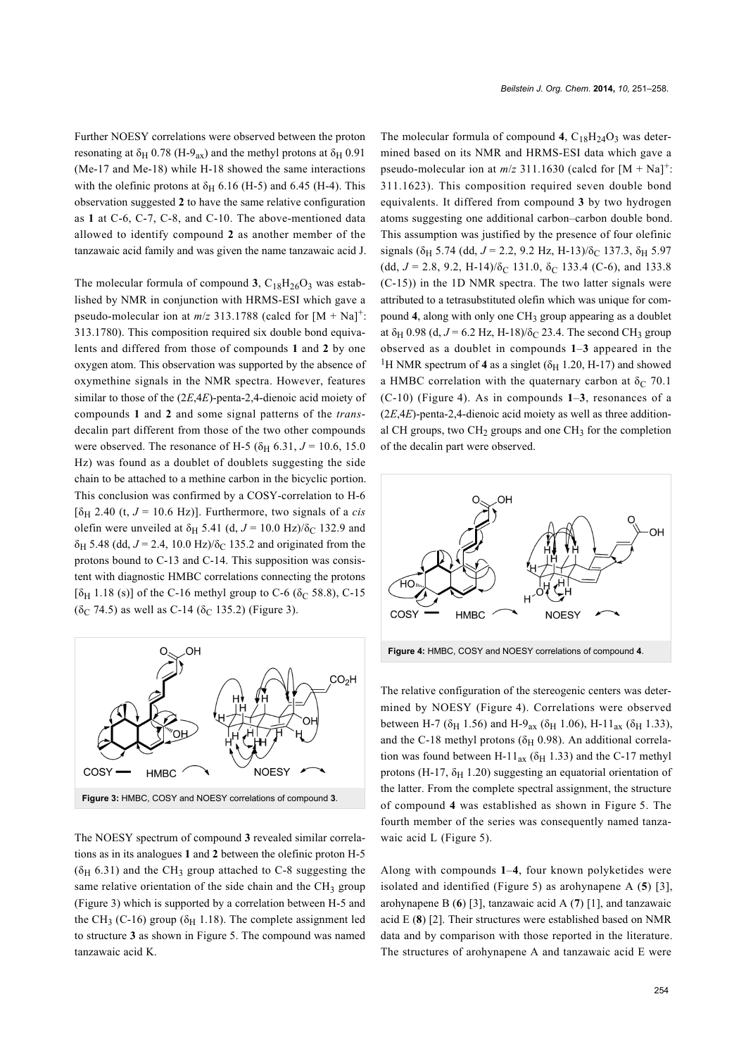Further NOESY correlations were observed between the proton resonating at  $\delta_H$  0.78 (H-9<sub>ax</sub>) and the methyl protons at  $\delta_H$  0.91 (Me-17 and Me-18) while H-18 showed the same interactions with the olefinic protons at  $\delta_H$  6.16 (H-5) and 6.45 (H-4). This observation suggested **2** to have the same relative configuration as **1** at C-6, C-7, C-8, and C-10. The above-mentioned data allowed to identify compound **2** as another member of the tanzawaic acid family and was given the name tanzawaic acid J.

The molecular formula of compound **3**,  $C_{18}H_{26}O_3$  was established by NMR in conjunction with HRMS-ESI which gave a pseudo-molecular ion at  $m/z$  313.1788 (calcd for  $[M + Na]$ <sup>+</sup>: 313.1780). This composition required six double bond equivalents and differed from those of compounds **1** and **2** by one oxygen atom. This observation was supported by the absence of oxymethine signals in the NMR spectra. However, features similar to those of the (2*E*,4*E*)-penta-2,4-dienoic acid moiety of compounds **1** and **2** and some signal patterns of the *trans*decalin part different from those of the two other compounds were observed. The resonance of H-5 ( $\delta$ <sub>H</sub> 6.31, *J* = 10.6, 15.0 Hz) was found as a doublet of doublets suggesting the side chain to be attached to a methine carbon in the bicyclic portion. This conclusion was confirmed by a COSY-correlation to H-6  $[\delta_H 2.40$  (t,  $J = 10.6$  Hz)]. Furthermore, two signals of a *cis* olefin were unveiled at  $\delta$ <sub>H</sub> 5.41 (d,  $J = 10.0$  Hz)/ $\delta$ <sub>C</sub> 132.9 and  $\delta$ <sub>H</sub> 5.48 (dd,  $J = 2.4$ , 10.0 Hz)/ $\delta$ <sub>C</sub> 135.2 and originated from the protons bound to C-13 and C-14. This supposition was consistent with diagnostic HMBC correlations connecting the protons [ $\delta$ <sub>H</sub> 1.18 (s)] of the C-16 methyl group to C-6 ( $\delta$ <sub>C</sub> 58.8), C-15  $(δ<sub>C</sub> 74.5)$  as well as C-14  $(δ<sub>C</sub> 135.2)$  ([Figure 3\)](#page-3-0).

<span id="page-3-0"></span>

The NOESY spectrum of compound **3** revealed similar correlations as in its analogues **1** and **2** between the olefinic proton H-5  $(\delta_H 6.31)$  and the CH<sub>3</sub> group attached to C-8 suggesting the same relative orientation of the side chain and the CH<sub>3</sub> group ([Figure 3](#page-3-0)) which is supported by a correlation between H-5 and the CH<sub>3</sub> (C-16) group ( $\delta$ <sub>H</sub> 1.18). The complete assignment led to structure **3** as shown in [Figure 5.](#page-4-0) The compound was named tanzawaic acid K.

The molecular formula of compound  $4$ ,  $C_{18}H_{24}O_3$  was determined based on its NMR and HRMS-ESI data which gave a pseudo-molecular ion at  $m/z$  311.1630 (calcd for  $[M + Na]$ <sup>+</sup>: 311.1623). This composition required seven double bond equivalents. It differed from compound **3** by two hydrogen atoms suggesting one additional carbon–carbon double bond. This assumption was justified by the presence of four olefinic signals ( $\delta$ <sub>H</sub> 5.74 (dd, *J* = 2.2, 9.2 Hz, H-13)/ $\delta$ <sub>C</sub> 137.3,  $\delta$ <sub>H</sub> 5.97 (dd,  $J = 2.8$ , 9.2, H-14)/ $\delta$ <sub>C</sub> 131.0,  $\delta$ <sub>C</sub> 133.4 (C-6), and 133.8 (C-15)) in the 1D NMR spectra. The two latter signals were attributed to a tetrasubstituted olefin which was unique for compound 4, along with only one CH<sub>3</sub> group appearing as a doublet at  $\delta_H$  0.98 (d,  $J = 6.2$  Hz, H-18)/ $\delta_C$  23.4. The second CH<sub>3</sub> group observed as a doublet in compounds **1**–**3** appeared in the <sup>1</sup>H NMR spectrum of **4** as a singlet ( $\delta$ <sub>H</sub> 1.20, H-17) and showed a HMBC correlation with the quaternary carbon at  $\delta_C$  70.1 (C-10) ([Figure 4](#page-3-1)). As in compounds **1**–**3**, resonances of a (2*E*,4*E*)-penta-2,4-dienoic acid moiety as well as three additional CH groups, two  $CH<sub>2</sub>$  groups and one CH<sub>3</sub> for the completion of the decalin part were observed.

<span id="page-3-1"></span>

The relative configuration of the stereogenic centers was determined by NOESY ([Figure 4](#page-3-1)). Correlations were observed between H-7 ( $\delta$ <sub>H</sub> 1.56) and H-9<sub>ax</sub> ( $\delta$ <sub>H</sub> 1.06), H-11<sub>ax</sub> ( $\delta$ <sub>H</sub> 1.33), and the C-18 methyl protons ( $\delta$ <sub>H</sub> 0.98). An additional correlation was found between H-11<sub>ax</sub> ( $\delta$ <sub>H</sub> 1.33) and the C-17 methyl protons (H-17,  $\delta_H$  1.20) suggesting an equatorial orientation of the latter. From the complete spectral assignment, the structure of compound **4** was established as shown in [Figure 5](#page-4-0). The fourth member of the series was consequently named tanzawaic acid L ([Figure 5](#page-4-0)).

Along with compounds **1**–**4**, four known polyketides were isolated and identified ([Figure 5](#page-4-0)) as arohynapene A (**5**) [\[3\]](#page-6-2), arohynapene B (**6**) [\[3\],](#page-6-2) tanzawaic acid A (**7**) [\[1\],](#page-6-0) and tanzawaic acid E (**8**) [\[2\].](#page-6-1) Their structures were established based on NMR data and by comparison with those reported in the literature. The structures of arohynapene A and tanzawaic acid E were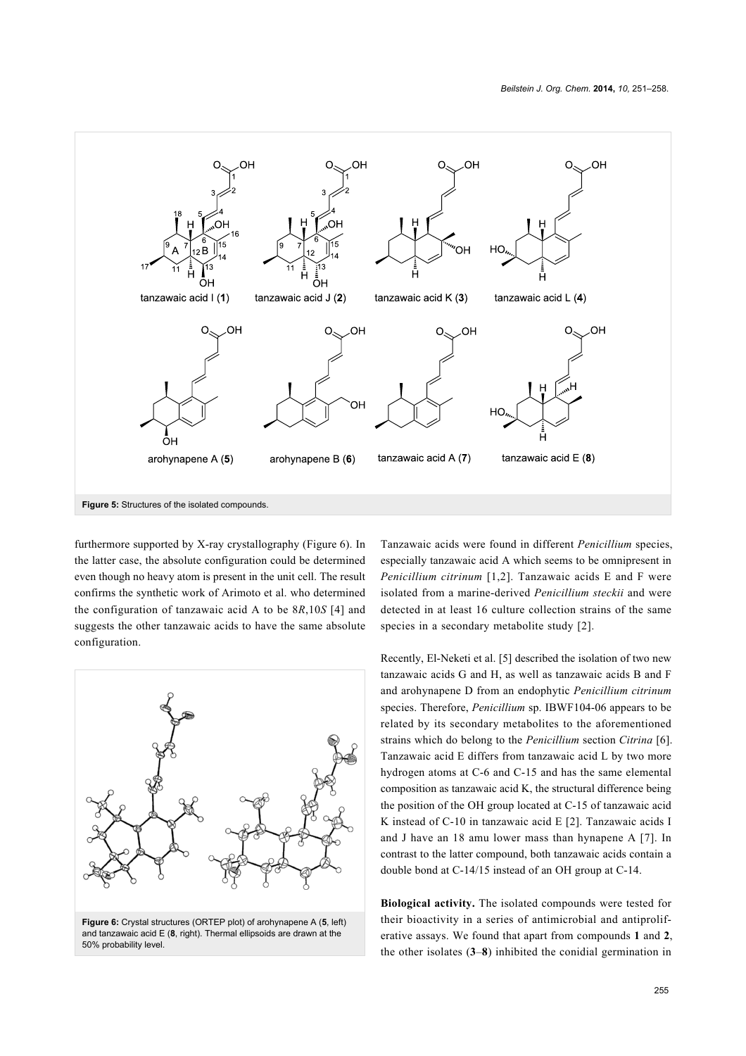<span id="page-4-0"></span>

furthermore supported by X-ray crystallography ([Figure 6\)](#page-4-1). In the latter case, the absolute configuration could be determined even though no heavy atom is present in the unit cell. The result confirms the synthetic work of Arimoto et al. who determined the configuration of tanzawaic acid A to be 8*R*,10*S* [\[4\]](#page-6-3) and suggests the other tanzawaic acids to have the same absolute configuration.

<span id="page-4-1"></span>

**Figure 6:** Crystal structures (ORTEP plot) of arohynapene A (**5**, left) and tanzawaic acid E (**8**, right). Thermal ellipsoids are drawn at the 50% probability level.

Tanzawaic acids were found in different *Penicillium* species, especially tanzawaic acid A which seems to be omnipresent in *Penicillium citrinum* [\[1,2\]](#page-6-0). Tanzawaic acids E and F were isolated from a marine-derived *Penicillium steckii* and were detected in at least 16 culture collection strains of the same species in a secondary metabolite study [\[2\]](#page-6-1).

Recently, El-Neketi et al. [\[5\]](#page-6-4) described the isolation of two new tanzawaic acids G and H, as well as tanzawaic acids B and F and arohynapene D from an endophytic *Penicillium citrinum* species. Therefore, *Penicillium* sp. IBWF104-06 appears to be related by its secondary metabolites to the aforementioned strains which do belong to the *Penicillium* section *Citrina* [\[6\]](#page-6-5). Tanzawaic acid E differs from tanzawaic acid L by two more hydrogen atoms at C-6 and C-15 and has the same elemental composition as tanzawaic acid K, the structural difference being the position of the OH group located at C-15 of tanzawaic acid K instead of C-10 in tanzawaic acid E [\[2\]](#page-6-1). Tanzawaic acids I and J have an 18 amu lower mass than hynapene A [\[7\].](#page-6-6) In contrast to the latter compound, both tanzawaic acids contain a double bond at C-14/15 instead of an OH group at C-14.

**Biological activity.** The isolated compounds were tested for their bioactivity in a series of antimicrobial and antiproliferative assays. We found that apart from compounds **1** and **2**, the other isolates (**3**–**8**) inhibited the conidial germination in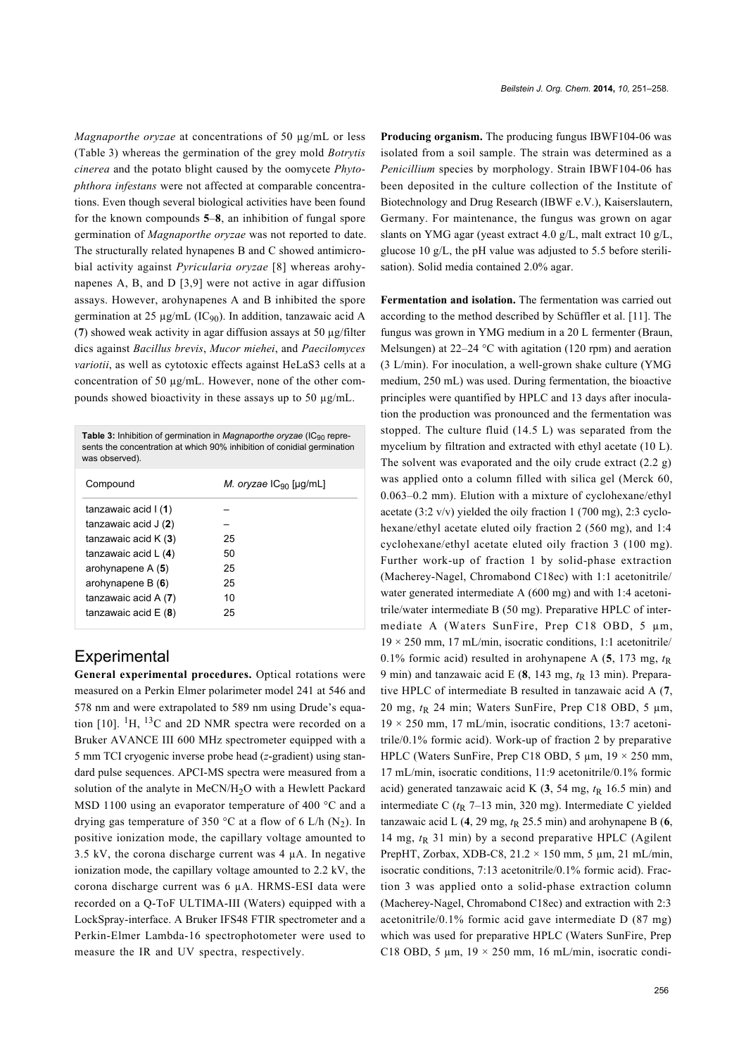*Magnaporthe oryzae* at concentrations of 50 µg/mL or less ([Table 3](#page-5-0)) whereas the germination of the grey mold *Botrytis cinerea* and the potato blight caused by the oomycete *Phytophthora infestans* were not affected at comparable concentrations. Even though several biological activities have been found for the known compounds **5**–**8**, an inhibition of fungal spore germination of *Magnaporthe oryzae* was not reported to date. The structurally related hynapenes B and C showed antimicrobial activity against *Pyricularia oryzae* [\[8\]](#page-6-7) whereas arohynapenes A, B, and D [\[3,9\]](#page-6-2) were not active in agar diffusion assays. However, arohynapenes A and B inhibited the spore germination at 25  $\mu$ g/mL (IC<sub>90</sub>). In addition, tanzawaic acid A (**7**) showed weak activity in agar diffusion assays at 50 µg/filter dics against *Bacillus brevis*, *Mucor miehei*, and *Paecilomyces variotii*, as well as cytotoxic effects against HeLaS3 cells at a concentration of 50 µg/mL. However, none of the other compounds showed bioactivity in these assays up to 50 µg/mL.

<span id="page-5-0"></span>

| <b>Table 3:</b> Inhibition of germination in <i>Magnaporthe oryzae</i> (IC <sub>90</sub> repre-<br>sents the concentration at which 90% inhibition of conidial germination<br>was observed). |                                    |  |  |
|----------------------------------------------------------------------------------------------------------------------------------------------------------------------------------------------|------------------------------------|--|--|
| Compound                                                                                                                                                                                     | <i>M.</i> oryzae $IC_{90}$ [µg/mL] |  |  |
| tanzawaic acid $(1)$                                                                                                                                                                         |                                    |  |  |
| tanzawaic acid $J(2)$                                                                                                                                                                        |                                    |  |  |
| tanzawaic acid $K(3)$                                                                                                                                                                        | 25                                 |  |  |
| tanzawaic acid $L(4)$                                                                                                                                                                        | 50                                 |  |  |
| arohynapene $A(5)$                                                                                                                                                                           | 25                                 |  |  |
| arohynapene B $(6)$                                                                                                                                                                          | 25                                 |  |  |
| tanzawaic acid $A(7)$                                                                                                                                                                        | 10                                 |  |  |
| tanzawaic acid $E(8)$                                                                                                                                                                        | 25                                 |  |  |

### **Experimental**

**General experimental procedures.** Optical rotations were measured on a Perkin Elmer polarimeter model 241 at 546 and 578 nm and were extrapolated to 589 nm using Drude's equa-tion [\[10\]](#page-6-8).  $^{1}$ H,  $^{13}$ C and 2D NMR spectra were recorded on a Bruker AVANCE III 600 MHz spectrometer equipped with a 5 mm TCI cryogenic inverse probe head (*z*-gradient) using standard pulse sequences. APCI-MS spectra were measured from a solution of the analyte in MeCN/H<sub>2</sub>O with a Hewlett Packard MSD 1100 using an evaporator temperature of 400 °C and a drying gas temperature of 350 °C at a flow of 6 L/h  $(N_2)$ . In positive ionization mode, the capillary voltage amounted to 3.5 kV, the corona discharge current was  $4 \mu$ A. In negative ionization mode, the capillary voltage amounted to 2.2 kV, the corona discharge current was 6 µA. HRMS-ESI data were recorded on a Q-ToF ULTIMA-III (Waters) equipped with a LockSpray-interface. A Bruker IFS48 FTIR spectrometer and a Perkin-Elmer Lambda-16 spectrophotometer were used to measure the IR and UV spectra, respectively.

**Producing organism.** The producing fungus IBWF104-06 was isolated from a soil sample. The strain was determined as a *Penicillium* species by morphology. Strain IBWF104-06 has been deposited in the culture collection of the Institute of Biotechnology and Drug Research (IBWF e.V.), Kaiserslautern, Germany. For maintenance, the fungus was grown on agar slants on YMG agar (yeast extract 4.0 g/L, malt extract 10 g/L, glucose 10 g/L, the pH value was adjusted to 5.5 before sterilisation). Solid media contained 2.0% agar.

**Fermentation and isolation.** The fermentation was carried out according to the method described by Schüffler et al. [\[11\].](#page-6-9) The fungus was grown in YMG medium in a 20 L fermenter (Braun, Melsungen) at 22–24 °C with agitation (120 rpm) and aeration (3 L/min). For inoculation, a well-grown shake culture (YMG medium, 250 mL) was used. During fermentation, the bioactive principles were quantified by HPLC and 13 days after inoculation the production was pronounced and the fermentation was stopped. The culture fluid (14.5 L) was separated from the mycelium by filtration and extracted with ethyl acetate (10 L). The solvent was evaporated and the oily crude extract  $(2.2 g)$ was applied onto a column filled with silica gel (Merck 60, 0.063–0.2 mm). Elution with a mixture of cyclohexane/ethyl acetate (3:2 v/v) yielded the oily fraction 1 (700 mg), 2:3 cyclohexane/ethyl acetate eluted oily fraction 2 (560 mg), and 1:4 cyclohexane/ethyl acetate eluted oily fraction 3 (100 mg). Further work-up of fraction 1 by solid-phase extraction (Macherey-Nagel, Chromabond C18ec) with 1:1 acetonitrile/ water generated intermediate A (600 mg) and with 1:4 acetonitrile/water intermediate B (50 mg). Preparative HPLC of intermediate A (Waters SunFire, Prep C18 OBD, 5  $\mu$ m,  $19 \times 250$  mm, 17 mL/min, isocratic conditions, 1:1 acetonitrile/ 0.1% formic acid) resulted in arohynapene A  $(5, 173 \text{ mg}, t_R)$ 9 min) and tanzawaic acid E  $(8, 143 \text{ mg}, t_R 13 \text{ min})$ . Preparative HPLC of intermediate B resulted in tanzawaic acid A (**7**, 20 mg,  $t<sub>R</sub>$  24 min; Waters SunFire, Prep C18 OBD, 5  $\mu$ m,  $19 \times 250$  mm, 17 mL/min, isocratic conditions, 13:7 acetonitrile/0.1% formic acid). Work-up of fraction 2 by preparative HPLC (Waters SunFire, Prep C18 OBD, 5  $\mu$ m, 19  $\times$  250 mm, 17 mL/min, isocratic conditions, 11:9 acetonitrile/0.1% formic acid) generated tanzawaic acid K  $(3, 54 \text{ mg}, t_R 16.5 \text{ min})$  and intermediate C  $(t_R$  7–13 min, 320 mg). Intermediate C yielded tanzawaic acid L  $(4, 29 \text{ mg}, t_R 25.5 \text{ min})$  and arohynapene B  $(6, 6)$ 14 mg,  $t<sub>R</sub>$  31 min) by a second preparative HPLC (Agilent PrepHT, Zorbax, XDB-C8, 21.2 × 150 mm, 5 µm, 21 mL/min, isocratic conditions, 7:13 acetonitrile/0.1% formic acid). Fraction 3 was applied onto a solid-phase extraction column (Macherey-Nagel, Chromabond C18ec) and extraction with 2:3 acetonitrile/0.1% formic acid gave intermediate D (87 mg) which was used for preparative HPLC (Waters SunFire, Prep C18 OBD, 5  $\mu$ m, 19 × 250 mm, 16 mL/min, isocratic condi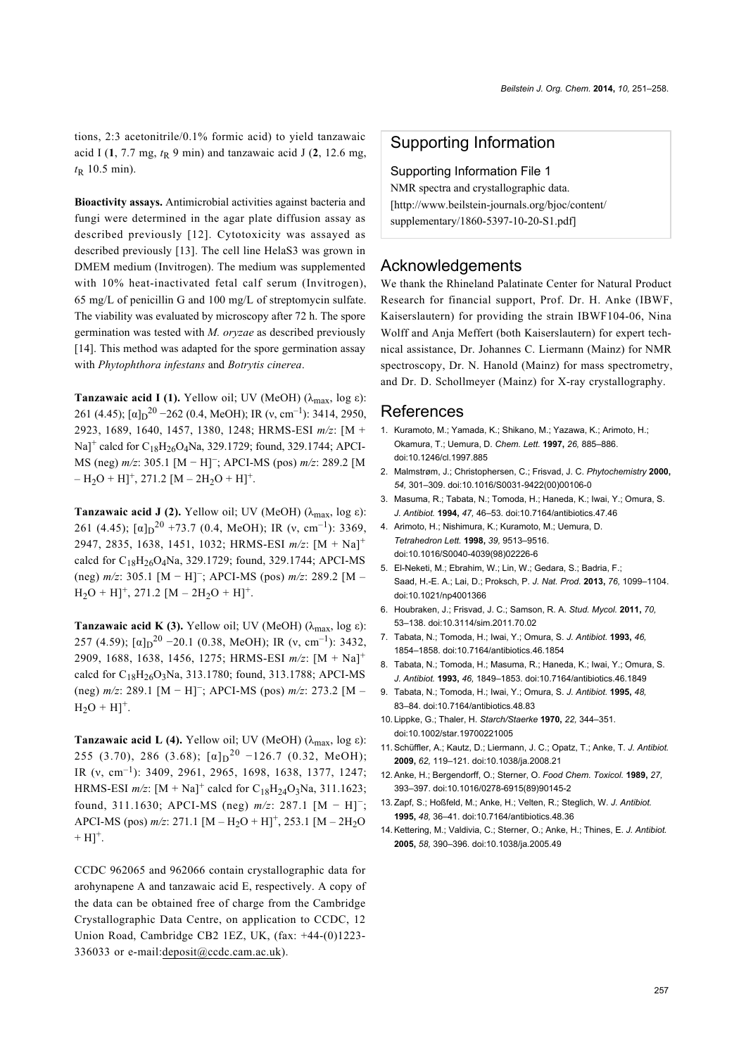tions, 2:3 acetonitrile/0.1% formic acid) to yield tanzawaic acid I  $(1, 7.7 \text{ mg}, t_R 9 \text{ min})$  and tanzawaic acid J  $(2, 12.6 \text{ mg},$  $t_{\rm R}$  10.5 min).

**Bioactivity assays.** Antimicrobial activities against bacteria and fungi were determined in the agar plate diffusion assay as described previously [\[12\]](#page-6-10). Cytotoxicity was assayed as described previously [\[13\]](#page-6-11). The cell line HelaS3 was grown in DMEM medium (Invitrogen). The medium was supplemented with 10% heat-inactivated fetal calf serum (Invitrogen), 65 mg/L of penicillin G and 100 mg/L of streptomycin sulfate. The viability was evaluated by microscopy after 72 h. The spore germination was tested with *M. oryzae* as described previously [\[14\].](#page-6-12) This method was adapted for the spore germination assay with *Phytophthora infestans* and *Botrytis cinerea*.

**Tanzawaic acid I (1).** Yellow oil; UV (MeOH) ( $\lambda_{\text{max}}$ , log  $\varepsilon$ ): 261 (4.45);  $\lbrack \alpha \rbrack_{D}^{20}$  –262 (0.4, MeOH); IR (v, cm<sup>-1</sup>): 3414, 2950, 2923, 1689, 1640, 1457, 1380, 1248; HRMS-ESI *m/z*: [M +  $\text{Na}$ <sup>+</sup> calcd for C<sub>18</sub>H<sub>26</sub>O<sub>4</sub>Na, 329.1729; found, 329.1744; APCI-MS (neg) *m/z*: 305.1 [M − H]<sup>−</sup> ; APCI-MS (pos) *m/z*: 289.2 [M  $- H<sub>2</sub>O + H]<sup>+</sup>$ , 271.2 [M – 2H<sub>2</sub>O + H]<sup>+</sup>.

**Tanzawaic acid J (2).** Yellow oil; UV (MeOH) ( $\lambda_{\text{max}}$ , log  $\varepsilon$ ): 261 (4.45);  $[\alpha]_D^{20}$  +73.7 (0.4, MeOH); IR (v, cm<sup>-1</sup>): 3369, 2947, 2835, 1638, 1451, 1032; HRMS-ESI *m/z*: [M + Na]<sup>+</sup> calcd for  $C_{18}H_{26}O_4$ Na, 329.1729; found, 329.1744; APCI-MS (neg) *m/z*: 305.1 [M − H]<sup>−</sup> ; APCI-MS (pos) *m/z*: 289.2 [M –  $H_2O + H$ <sup>+</sup>, 271.2 [M – 2H<sub>2</sub>O + H]<sup>+</sup>.

**Tanzawaic acid K (3).** Yellow oil; UV (MeOH) ( $\lambda_{\text{max}}$ , log  $\varepsilon$ ): 257 (4.59);  $[\alpha]_D^{20}$  –20.1 (0.38, MeOH); IR (v, cm<sup>-1</sup>): 3432, 2909, 1688, 1638, 1456, 1275; HRMS-ESI *m/z*: [M + Na]<sup>+</sup> calcd for  $C_{18}H_{26}O_3$ Na, 313.1780; found, 313.1788; APCI-MS (neg) *m/z*: 289.1 [M − H]<sup>−</sup> ; APCI-MS (pos) *m/z*: 273.2 [M –  $H_2O + H]^+$ .

**Tanzawaic acid L (4).** Yellow oil; UV (MeOH) ( $\lambda_{\text{max}}$ , log  $\varepsilon$ ): 255 (3.70), 286 (3.68);  $\lbrack \alpha \rbrack \rbrack^{20}$  –126.7 (0.32, MeOH); IR (ν, cm–1): 3409, 2961, 2965, 1698, 1638, 1377, 1247; HRMS-ESI  $m/z$ :  $[M + Na]^+$  calcd for  $C_{18}H_{24}O_3Na$ , 311.1623; found, 311.1630; APCI-MS (neg) *m/z*: 287.1 [M − H]<sup>−</sup> ; APCI-MS (pos)  $m/z$ : 271.1 [M – H<sub>2</sub>O + H]<sup>+</sup>, 253.1 [M – 2H<sub>2</sub>O  $+H$ ]<sup>+</sup>.

CCDC 962065 and 962066 contain crystallographic data for arohynapene A and tanzawaic acid E, respectively. A copy of the data can be obtained free of charge from the Cambridge Crystallographic Data Centre, on application to CCDC, 12 Union Road, Cambridge CB2 1EZ, UK, (fax: +44-(0)1223- 336033 or e-mail[:deposit@ccdc.cam.ac.uk](mailto:deposit@ccdc.cam.ac.uk)).

#### Supporting Information

Supporting Information File 1 NMR spectra and crystallographic data. [\[http://www.beilstein-journals.org/bjoc/content/](http://www.beilstein-journals.org/bjoc/content/supplementary/1860-5397-10-20-S1.pdf) [supplementary/1860-5397-10-20-S1.pdf\]](http://www.beilstein-journals.org/bjoc/content/supplementary/1860-5397-10-20-S1.pdf)

#### Acknowledgements

We thank the Rhineland Palatinate Center for Natural Product Research for financial support, Prof. Dr. H. Anke (IBWF, Kaiserslautern) for providing the strain IBWF104-06, Nina Wolff and Anja Meffert (both Kaiserslautern) for expert technical assistance, Dr. Johannes C. Liermann (Mainz) for NMR spectroscopy, Dr. N. Hanold (Mainz) for mass spectrometry, and Dr. D. Schollmeyer (Mainz) for X-ray crystallography.

#### References

- <span id="page-6-0"></span>1. Kuramoto, M.; Yamada, K.; Shikano, M.; Yazawa, K.; Arimoto, H.; Okamura, T.; Uemura, D. *Chem. Lett.* **1997,** *26,* 885–886. [doi:10.1246/cl.1997.885](http://dx.doi.org/10.1246%2Fcl.1997.885)
- <span id="page-6-1"></span>2. Malmstrøm, J.; Christophersen, C.; Frisvad, J. C. *Phytochemistry* **2000,** *54,* 301–309. [doi:10.1016/S0031-9422\(00\)00106-0](http://dx.doi.org/10.1016%2FS0031-9422%2800%2900106-0)
- <span id="page-6-2"></span>3. Masuma, R.; Tabata, N.; Tomoda, H.; Haneda, K.; Iwai, Y.; Omura, S. *J. Antibiot.* **1994,** *47,* 46–53. [doi:10.7164/antibiotics.47.46](http://dx.doi.org/10.7164%2Fantibiotics.47.46)
- <span id="page-6-3"></span>4. Arimoto, H.; Nishimura, K.; Kuramoto, M.; Uemura, D. *Tetrahedron Lett.* **1998,** *39,* 9513–9516. [doi:10.1016/S0040-4039\(98\)02226-6](http://dx.doi.org/10.1016%2FS0040-4039%2898%2902226-6)
- <span id="page-6-4"></span>5. El-Neketi, M.; Ebrahim, W.; Lin, W.; Gedara, S.; Badria, E.; Saad, H.-E. A.; Lai, D.; Proksch, P. *J. Nat. Prod.* **2013,** *76,* 1099–1104. [doi:10.1021/np4001366](http://dx.doi.org/10.1021%2Fnp4001366)
- <span id="page-6-5"></span>6. Houbraken, J.; Frisvad, J. C.; Samson, R. A. *Stud. Mycol.* **2011,** *70,* 53–138. [doi:10.3114/sim.2011.70.02](http://dx.doi.org/10.3114%2Fsim.2011.70.02)
- <span id="page-6-6"></span>7. Tabata, N.; Tomoda, H.; Iwai, Y.; Omura, S. *J. Antibiot.* **1993,** *46,* 1854–1858. [doi:10.7164/antibiotics.46.1854](http://dx.doi.org/10.7164%2Fantibiotics.46.1854)
- <span id="page-6-7"></span>8. Tabata, N.; Tomoda, H.; Masuma, R.; Haneda, K.; Iwai, Y.; Omura, S. *J. Antibiot.* **1993,** *46,* 1849–1853. [doi:10.7164/antibiotics.46.1849](http://dx.doi.org/10.7164%2Fantibiotics.46.1849)
- 9. Tabata, N.; Tomoda, H.; Iwai, Y.; Omura, S. *J. Antibiot.* **1995,** *48,* 83–84. [doi:10.7164/antibiotics.48.83](http://dx.doi.org/10.7164%2Fantibiotics.48.83)
- <span id="page-6-8"></span>10. Lippke, G.; Thaler, H. *Starch/Staerke* **1970,** *22,* 344–351. [doi:10.1002/star.19700221005](http://dx.doi.org/10.1002%2Fstar.19700221005)
- <span id="page-6-9"></span>11.Schüffler, A.; Kautz, D.; Liermann, J. C.; Opatz, T.; Anke, T. *J. Antibiot.* **2009,** *62,* 119–121. [doi:10.1038/ja.2008.21](http://dx.doi.org/10.1038%2Fja.2008.21)
- <span id="page-6-10"></span>12.Anke, H.; Bergendorff, O.; Sterner, O. *Food Chem. Toxicol.* **1989,** *27,* 393–397. [doi:10.1016/0278-6915\(89\)90145-2](http://dx.doi.org/10.1016%2F0278-6915%2889%2990145-2)
- <span id="page-6-11"></span>13.Zapf, S.; Hoßfeld, M.; Anke, H.; Velten, R.; Steglich, W. *J. Antibiot.* **1995,** *48,* 36–41. [doi:10.7164/antibiotics.48.36](http://dx.doi.org/10.7164%2Fantibiotics.48.36)
- <span id="page-6-12"></span>14.Kettering, M.; Valdivia, C.; Sterner, O.; Anke, H.; Thines, E. *J. Antibiot.* **2005,** *58,* 390–396. [doi:10.1038/ja.2005.49](http://dx.doi.org/10.1038%2Fja.2005.49)